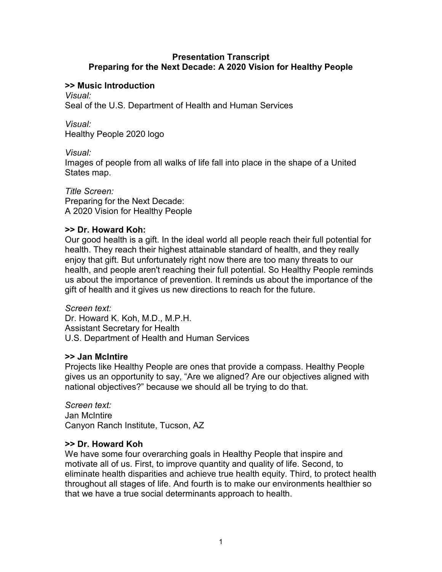### **Presentation Transcript Preparing for the Next Decade: A 2020 Vision for Healthy People**

## **>> Music Introduction**

*Visual:*

Seal of the U.S. Department of Health and Human Services

*Visual:* Healthy People 2020 logo

*Visual:*

Images of people from all walks of life fall into place in the shape of a United States map.

*Title Screen:* Preparing for the Next Decade: A 2020 Vision for Healthy People

## **>> Dr. Howard Koh:**

Our good health is a gift. In the ideal world all people reach their full potential for health. They reach their highest attainable standard of health, and they really enjoy that gift. But unfortunately right now there are too many threats to our health, and people aren't reaching their full potential. So Healthy People reminds us about the importance of prevention. It reminds us about the importance of the gift of health and it gives us new directions to reach for the future.

*Screen text:*  Dr. Howard K. Koh, M.D., M.P.H. Assistant Secretary for Health U.S. Department of Health and Human Services

# **>> Jan McIntire**

Projects like Healthy People are ones that provide a compass. Healthy People gives us an opportunity to say, "Are we aligned? Are our objectives aligned with national objectives?" because we should all be trying to do that.

*Screen text:*  Jan McIntire Canyon Ranch Institute, Tucson, AZ

# **>> Dr. Howard Koh**

We have some four overarching goals in Healthy People that inspire and motivate all of us. First, to improve quantity and quality of life. Second, to eliminate health disparities and achieve true health equity. Third, to protect health throughout all stages of life. And fourth is to make our environments healthier so that we have a true social determinants approach to health.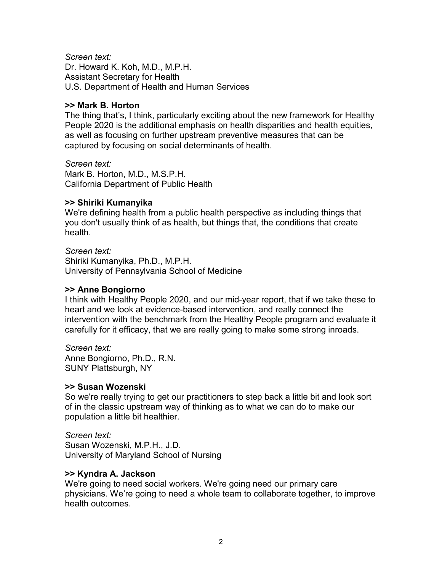*Screen text:* Dr. Howard K. Koh, M.D., M.P.H. Assistant Secretary for Health U.S. Department of Health and Human Services

### **>> Mark B. Horton**

The thing that's, I think, particularly exciting about the new framework for Healthy People 2020 is the additional emphasis on health disparities and health equities, as well as focusing on further upstream preventive measures that can be captured by focusing on social determinants of health.

*Screen text:* Mark B. Horton, M.D., M.S.P.H. California Department of Public Health

### **>> Shiriki Kumanyika**

We're defining health from a public health perspective as including things that you don't usually think of as health, but things that, the conditions that create health.

*Screen text:* Shiriki Kumanyika, Ph.D., M.P.H. University of Pennsylvania School of Medicine

#### **>> Anne Bongiorno**

I think with Healthy People 2020, and our mid-year report, that if we take these to heart and we look at evidence-based intervention, and really connect the intervention with the benchmark from the Healthy People program and evaluate it carefully for it efficacy, that we are really going to make some strong inroads.

*Screen text:* Anne Bongiorno, Ph.D., R.N. SUNY Plattsburgh, NY

#### **>> Susan Wozenski**

So we're really trying to get our practitioners to step back a little bit and look sort of in the classic upstream way of thinking as to what we can do to make our population a little bit healthier.

*Screen text:* Susan Wozenski, M.P.H., J.D. University of Maryland School of Nursing

## **>> Kyndra A. Jackson**

We're going to need social workers. We're going need our primary care physicians. We're going to need a whole team to collaborate together, to improve health outcomes.